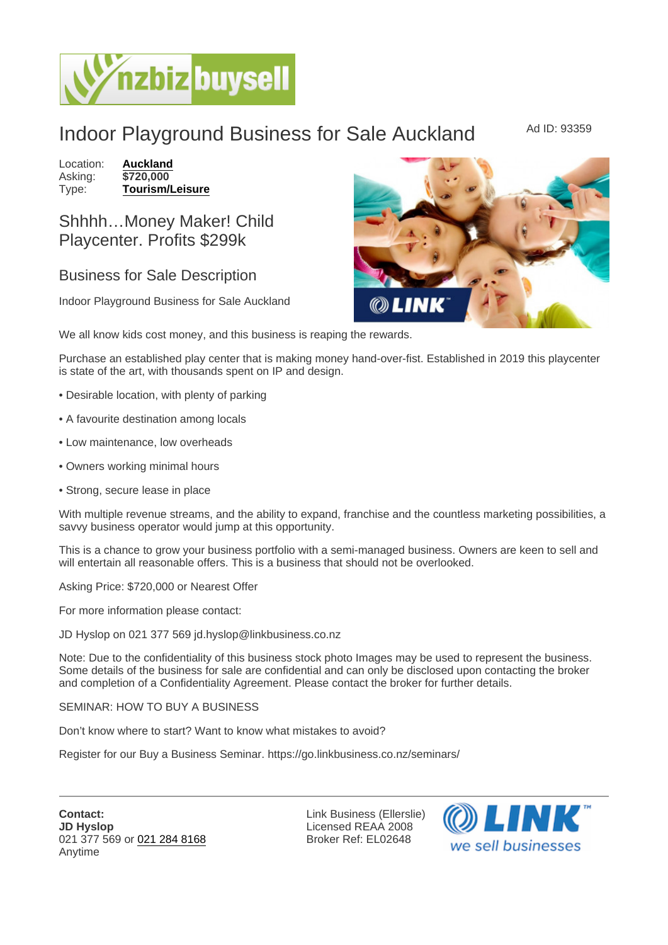## Indoor Playground Business for Sale Auckland Ad ID: 93359

Location: [Auckland](https://www.nzbizbuysell.co.nz/businesses-for-sale/location/Auckland) Asking: \$720,000<br>Type: Tourism/L [Tourism/Leisure](https://www.nzbizbuysell.co.nz/businesses-for-sale/Tourism--Leisure/New-Zealand)

## Shhhh…Money Maker! Child Playcenter. Profits \$299k

## Business for Sale Description

Indoor Playground Business for Sale Auckland

We all know kids cost money, and this business is reaping the rewards.

Purchase an established play center that is making money hand-over-fist. Established in 2019 this playcenter is state of the art, with thousands spent on IP and design.

- Desirable location, with plenty of parking
- A favourite destination among locals
- Low maintenance, low overheads
- Owners working minimal hours
- Strong, secure lease in place

With multiple revenue streams, and the ability to expand, franchise and the countless marketing possibilities, a savvy business operator would jump at this opportunity.

This is a chance to grow your business portfolio with a semi-managed business. Owners are keen to sell and will entertain all reasonable offers. This is a business that should not be overlooked.

Asking Price: \$720,000 or Nearest Offer

For more information please contact:

JD Hyslop on 021 377 569 jd.hyslop@linkbusiness.co.nz

Note: Due to the confidentiality of this business stock photo Images may be used to represent the business. Some details of the business for sale are confidential and can only be disclosed upon contacting the broker and completion of a Confidentiality Agreement. Please contact the broker for further details.

SEMINAR: HOW TO BUY A BUSINESS

Don't know where to start? Want to know what mistakes to avoid?

Register for our Buy a Business Seminar. https://go.linkbusiness.co.nz/seminars/

Link Business (Ellerslie) Licensed REAA 2008 Broker Ref: EL02648